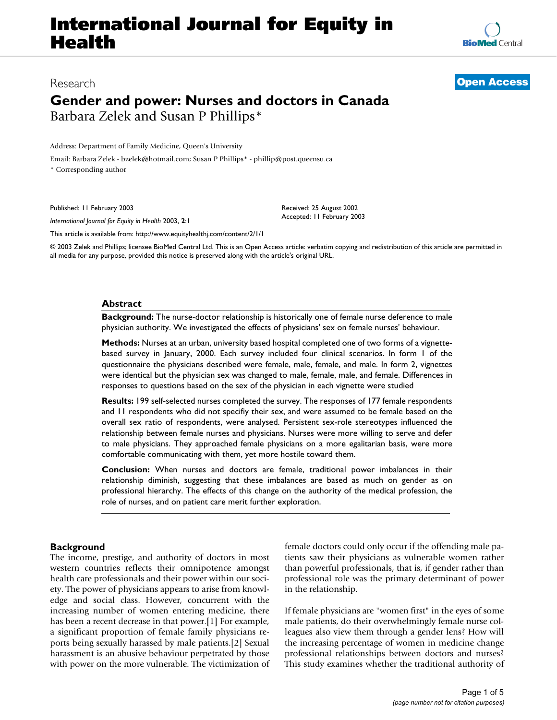# **International Journal for Equity in Health**

**[BioMed](http://www.biomedcentral.com/)** Central

## Research **[Open Access](http://www.biomedcentral.com/info/about/charter/)**

## **Gender and power: Nurses and doctors in Canada** Barbara Zelek and Susan P Phillips\*

Address: Department of Family Medicine, Queen's University

Email: Barbara Zelek - bzelek@hotmail.com; Susan P Phillips\* - phillip@post.queensu.ca

\* Corresponding author

Published: 11 February 2003

*International Journal for Equity in Health* 2003, **2**:1

Received: 25 August 2002 Accepted: 11 February 2003

[This article is available from: http://www.equityhealthj.com/content/2/1/1](http://www.equityhealthj.com/content/2/1/1)

© 2003 Zelek and Phillips; licensee BioMed Central Ltd. This is an Open Access article: verbatim copying and redistribution of this article are permitted in all media for any purpose, provided this notice is preserved along with the article's original URL.

#### **Abstract**

**Background:** The nurse-doctor relationship is historically one of female nurse deference to male physician authority. We investigated the effects of physicians' sex on female nurses' behaviour.

**Methods:** Nurses at an urban, university based hospital completed one of two forms of a vignettebased survey in January, 2000. Each survey included four clinical scenarios. In form 1 of the questionnaire the physicians described were female, male, female, and male. In form 2, vignettes were identical but the physician sex was changed to male, female, male, and female. Differences in responses to questions based on the sex of the physician in each vignette were studied

**Results:** 199 self-selected nurses completed the survey. The responses of 177 female respondents and 11 respondents who did not specifiy their sex, and were assumed to be female based on the overall sex ratio of respondents, were analysed. Persistent sex-role stereotypes influenced the relationship between female nurses and physicians. Nurses were more willing to serve and defer to male physicians. They approached female physicians on a more egalitarian basis, were more comfortable communicating with them, yet more hostile toward them.

**Conclusion:** When nurses and doctors are female, traditional power imbalances in their relationship diminish, suggesting that these imbalances are based as much on gender as on professional hierarchy. The effects of this change on the authority of the medical profession, the role of nurses, and on patient care merit further exploration.

### **Background**

The income, prestige, and authority of doctors in most western countries reflects their omnipotence amongst health care professionals and their power within our society. The power of physicians appears to arise from knowledge and social class. However, concurrent with the increasing number of women entering medicine, there has been a recent decrease in that power.[1] For example, a significant proportion of female family physicians reports being sexually harassed by male patients.[2] Sexual harassment is an abusive behaviour perpetrated by those with power on the more vulnerable. The victimization of female doctors could only occur if the offending male patients saw their physicians as vulnerable women rather than powerful professionals, that is, if gender rather than professional role was the primary determinant of power in the relationship.

If female physicians are "women first" in the eyes of some male patients, do their overwhelmingly female nurse colleagues also view them through a gender lens? How will the increasing percentage of women in medicine change professional relationships between doctors and nurses? This study examines whether the traditional authority of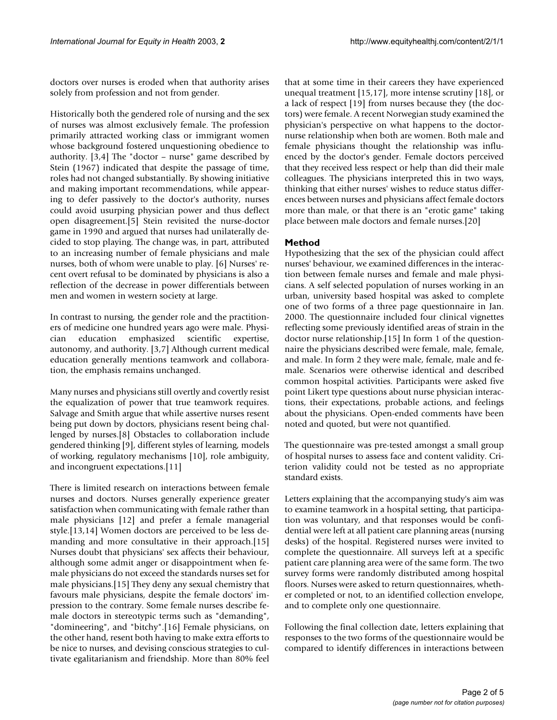doctors over nurses is eroded when that authority arises solely from profession and not from gender.

Historically both the gendered role of nursing and the sex of nurses was almost exclusively female. The profession primarily attracted working class or immigrant women whose background fostered unquestioning obedience to authority. [3,4] The "doctor – nurse" game described by Stein (1967) indicated that despite the passage of time, roles had not changed substantially. By showing initiative and making important recommendations, while appearing to defer passively to the doctor's authority, nurses could avoid usurping physician power and thus deflect open disagreement.[5] Stein revisited the nurse-doctor game in 1990 and argued that nurses had unilaterally decided to stop playing. The change was, in part, attributed to an increasing number of female physicians and male nurses, both of whom were unable to play. [6] Nurses' recent overt refusal to be dominated by physicians is also a reflection of the decrease in power differentials between men and women in western society at large.

In contrast to nursing, the gender role and the practitioners of medicine one hundred years ago were male. Physician education emphasized scientific expertise, autonomy, and authority. [3,7] Although current medical education generally mentions teamwork and collaboration, the emphasis remains unchanged.

Many nurses and physicians still overtly and covertly resist the equalization of power that true teamwork requires. Salvage and Smith argue that while assertive nurses resent being put down by doctors, physicians resent being challenged by nurses.[8] Obstacles to collaboration include gendered thinking [9], different styles of learning, models of working, regulatory mechanisms [10], role ambiguity, and incongruent expectations.[11]

There is limited research on interactions between female nurses and doctors. Nurses generally experience greater satisfaction when communicating with female rather than male physicians [12] and prefer a female managerial style.[13,14] Women doctors are perceived to be less demanding and more consultative in their approach.[15] Nurses doubt that physicians' sex affects their behaviour, although some admit anger or disappointment when female physicians do not exceed the standards nurses set for male physicians.[15] They deny any sexual chemistry that favours male physicians, despite the female doctors' impression to the contrary. Some female nurses describe female doctors in stereotypic terms such as "demanding", "domineering", and "bitchy".[16] Female physicians, on the other hand, resent both having to make extra efforts to be nice to nurses, and devising conscious strategies to cultivate egalitarianism and friendship. More than 80% feel

that at some time in their careers they have experienced unequal treatment [15,17], more intense scrutiny [18], or a lack of respect [19] from nurses because they (the doctors) were female. A recent Norwegian study examined the physician's perspective on what happens to the doctornurse relationship when both are women. Both male and female physicians thought the relationship was influenced by the doctor's gender. Female doctors perceived that they received less respect or help than did their male colleagues. The physicians interpreted this in two ways, thinking that either nurses' wishes to reduce status differences between nurses and physicians affect female doctors more than male, or that there is an "erotic game" taking place between male doctors and female nurses.[20]

## **Method**

Hypothesizing that the sex of the physician could affect nurses' behaviour, we examined differences in the interaction between female nurses and female and male physicians. A self selected population of nurses working in an urban, university based hospital was asked to complete one of two forms of a three page questionnaire in Jan. 2000. The questionnaire included four clinical vignettes reflecting some previously identified areas of strain in the doctor nurse relationship.[15] In form 1 of the questionnaire the physicians described were female, male, female, and male. In form 2 they were male, female, male and female. Scenarios were otherwise identical and described common hospital activities. Participants were asked five point Likert type questions about nurse physician interactions, their expectations, probable actions, and feelings about the physicians. Open-ended comments have been noted and quoted, but were not quantified.

The questionnaire was pre-tested amongst a small group of hospital nurses to assess face and content validity. Criterion validity could not be tested as no appropriate standard exists.

Letters explaining that the accompanying study's aim was to examine teamwork in a hospital setting, that participation was voluntary, and that responses would be confidential were left at all patient care planning areas (nursing desks) of the hospital. Registered nurses were invited to complete the questionnaire. All surveys left at a specific patient care planning area were of the same form. The two survey forms were randomly distributed among hospital floors. Nurses were asked to return questionnaires, whether completed or not, to an identified collection envelope, and to complete only one questionnaire.

Following the final collection date, letters explaining that responses to the two forms of the questionnaire would be compared to identify differences in interactions between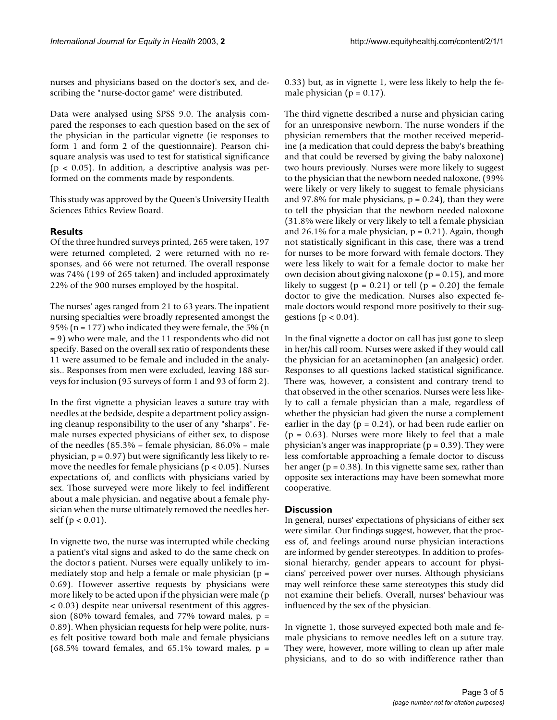nurses and physicians based on the doctor's sex, and describing the "nurse-doctor game" were distributed.

Data were analysed using SPSS 9.0. The analysis compared the responses to each question based on the sex of the physician in the particular vignette (ie responses to form 1 and form 2 of the questionnaire). Pearson chisquare analysis was used to test for statistical significance  $(p < 0.05)$ . In addition, a descriptive analysis was performed on the comments made by respondents.

This study was approved by the Queen's University Health Sciences Ethics Review Board.

#### **Results**

Of the three hundred surveys printed, 265 were taken, 197 were returned completed, 2 were returned with no responses, and 66 were not returned. The overall response was 74% (199 of 265 taken) and included approximately 22% of the 900 nurses employed by the hospital.

The nurses' ages ranged from 21 to 63 years. The inpatient nursing specialties were broadly represented amongst the 95% (n = 177) who indicated they were female, the 5% (n = 9) who were male, and the 11 respondents who did not specify. Based on the overall sex ratio of respondents these 11 were assumed to be female and included in the analysis.. Responses from men were excluded, leaving 188 surveys for inclusion (95 surveys of form 1 and 93 of form 2).

In the first vignette a physician leaves a suture tray with needles at the bedside, despite a department policy assigning cleanup responsibility to the user of any "sharps". Female nurses expected physicians of either sex, to dispose of the needles (85.3% – female physician, 86.0% – male physician,  $p = 0.97$ ) but were significantly less likely to remove the needles for female physicians ( $p < 0.05$ ). Nurses expectations of, and conflicts with physicians varied by sex. Those surveyed were more likely to feel indifferent about a male physician, and negative about a female physician when the nurse ultimately removed the needles herself ( $p < 0.01$ ).

In vignette two, the nurse was interrupted while checking a patient's vital signs and asked to do the same check on the doctor's patient. Nurses were equally unlikely to immediately stop and help a female or male physician (p = 0.69). However assertive requests by physicians were more likely to be acted upon if the physician were male (p < 0.03) despite near universal resentment of this aggression (80% toward females, and 77% toward males,  $p =$ 0.89). When physician requests for help were polite, nurses felt positive toward both male and female physicians (68.5% toward females, and 65.1% toward males,  $p =$ 

0.33) but, as in vignette 1, were less likely to help the female physician ( $p = 0.17$ ).

The third vignette described a nurse and physician caring for an unresponsive newborn. The nurse wonders if the physician remembers that the mother received meperidine (a medication that could depress the baby's breathing and that could be reversed by giving the baby naloxone) two hours previously. Nurses were more likely to suggest to the physician that the newborn needed naloxone, (99% were likely or very likely to suggest to female physicians and 97.8% for male physicians,  $p = 0.24$ ), than they were to tell the physician that the newborn needed naloxone (31.8% were likely or very likely to tell a female physician and 26.1% for a male physician,  $p = 0.21$ ). Again, though not statistically significant in this case, there was a trend for nurses to be more forward with female doctors. They were less likely to wait for a female doctor to make her own decision about giving naloxone ( $p = 0.15$ ), and more likely to suggest ( $p = 0.21$ ) or tell ( $p = 0.20$ ) the female doctor to give the medication. Nurses also expected female doctors would respond more positively to their suggestions ( $p < 0.04$ ).

In the final vignette a doctor on call has just gone to sleep in her/his call room. Nurses were asked if they would call the physician for an acetaminophen (an analgesic) order. Responses to all questions lacked statistical significance. There was, however, a consistent and contrary trend to that observed in the other scenarios. Nurses were less likely to call a female physician than a male, regardless of whether the physician had given the nurse a complement earlier in the day ( $p = 0.24$ ), or had been rude earlier on  $(p = 0.63)$ . Nurses were more likely to feel that a male physician's anger was inappropriate ( $p = 0.39$ ). They were less comfortable approaching a female doctor to discuss her anger ( $p = 0.38$ ). In this vignette same sex, rather than opposite sex interactions may have been somewhat more cooperative.

#### **Discussion**

In general, nurses' expectations of physicians of either sex were similar. Our findings suggest, however, that the process of, and feelings around nurse physician interactions are informed by gender stereotypes. In addition to professional hierarchy, gender appears to account for physicians' perceived power over nurses. Although physicians may well reinforce these same stereotypes this study did not examine their beliefs. Overall, nurses' behaviour was influenced by the sex of the physician.

In vignette 1, those surveyed expected both male and female physicians to remove needles left on a suture tray. They were, however, more willing to clean up after male physicians, and to do so with indifference rather than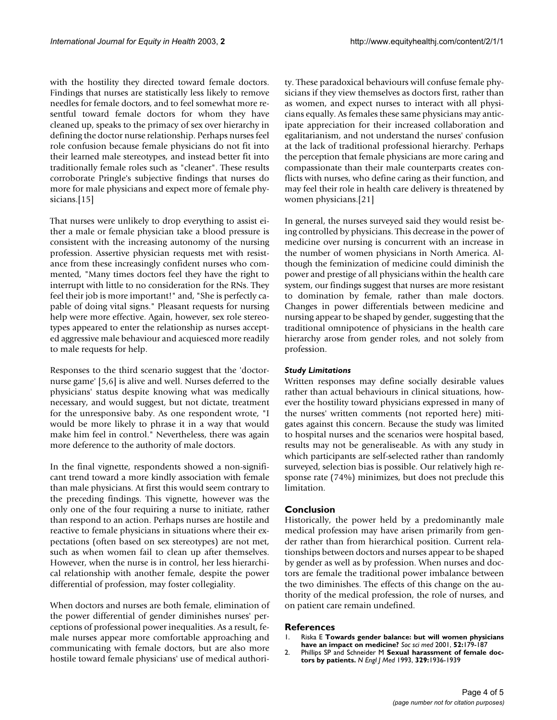with the hostility they directed toward female doctors. Findings that nurses are statistically less likely to remove needles for female doctors, and to feel somewhat more resentful toward female doctors for whom they have cleaned up, speaks to the primacy of sex over hierarchy in defining the doctor nurse relationship. Perhaps nurses feel role confusion because female physicians do not fit into their learned male stereotypes, and instead better fit into traditionally female roles such as "cleaner". These results corroborate Pringle's subjective findings that nurses do more for male physicians and expect more of female physicians.[15]

That nurses were unlikely to drop everything to assist either a male or female physician take a blood pressure is consistent with the increasing autonomy of the nursing profession. Assertive physician requests met with resistance from these increasingly confident nurses who commented, "Many times doctors feel they have the right to interrupt with little to no consideration for the RNs. They feel their job is more important!" and, "She is perfectly capable of doing vital signs." Pleasant requests for nursing help were more effective. Again, however, sex role stereotypes appeared to enter the relationship as nurses accepted aggressive male behaviour and acquiesced more readily to male requests for help.

Responses to the third scenario suggest that the 'doctornurse game' [5,6] is alive and well. Nurses deferred to the physicians' status despite knowing what was medically necessary, and would suggest, but not dictate, treatment for the unresponsive baby. As one respondent wrote, "I would be more likely to phrase it in a way that would make him feel in control." Nevertheless, there was again more deference to the authority of male doctors.

In the final vignette, respondents showed a non-significant trend toward a more kindly association with female than male physicians. At first this would seem contrary to the preceding findings. This vignette, however was the only one of the four requiring a nurse to initiate, rather than respond to an action. Perhaps nurses are hostile and reactive to female physicians in situations where their expectations (often based on sex stereotypes) are not met, such as when women fail to clean up after themselves. However, when the nurse is in control, her less hierarchical relationship with another female, despite the power differential of profession, may foster collegiality.

When doctors and nurses are both female, elimination of the power differential of gender diminishes nurses' perceptions of professional power inequalities. As a result, female nurses appear more comfortable approaching and communicating with female doctors, but are also more hostile toward female physicians' use of medical authority. These paradoxical behaviours will confuse female physicians if they view themselves as doctors first, rather than as women, and expect nurses to interact with all physicians equally. As females these same physicians may anticipate appreciation for their increased collaboration and egalitarianism, and not understand the nurses' confusion at the lack of traditional professional hierarchy. Perhaps the perception that female physicians are more caring and compassionate than their male counterparts creates conflicts with nurses, who define caring as their function, and may feel their role in health care delivery is threatened by women physicians.[21]

In general, the nurses surveyed said they would resist being controlled by physicians. This decrease in the power of medicine over nursing is concurrent with an increase in the number of women physicians in North America. Although the feminization of medicine could diminish the power and prestige of all physicians within the health care system, our findings suggest that nurses are more resistant to domination by female, rather than male doctors. Changes in power differentials between medicine and nursing appear to be shaped by gender, suggesting that the traditional omnipotence of physicians in the health care hierarchy arose from gender roles, and not solely from profession.

#### *Study Limitations*

Written responses may define socially desirable values rather than actual behaviours in clinical situations, however the hostility toward physicians expressed in many of the nurses' written comments (not reported here) mitigates against this concern. Because the study was limited to hospital nurses and the scenarios were hospital based, results may not be generaliseable. As with any study in which participants are self-selected rather than randomly surveyed, selection bias is possible. Our relatively high response rate (74%) minimizes, but does not preclude this limitation.

#### **Conclusion**

Historically, the power held by a predominantly male medical profession may have arisen primarily from gender rather than from hierarchical position. Current relationships between doctors and nurses appear to be shaped by gender as well as by profession. When nurses and doctors are female the traditional power imbalance between the two diminishes. The effects of this change on the authority of the medical profession, the role of nurses, and on patient care remain undefined.

#### **References**

- 1. Riska E **[Towards gender balance: but will women physicians](http://www.ncbi.nlm.nih.gov/entrez/query.fcgi?cmd=Retrieve&db=PubMed&dopt=Abstract&list_uids=11144774) [have an impact on medicine?](http://www.ncbi.nlm.nih.gov/entrez/query.fcgi?cmd=Retrieve&db=PubMed&dopt=Abstract&list_uids=11144774)** *Soc sci med* 2001, **52:**179-187
- 2. Phillips SP and Schneider M **[Sexual harassment of female doc](http://www.ncbi.nlm.nih.gov/entrez/query.fcgi?cmd=Retrieve&db=PubMed&dopt=Abstract&list_uids=8247058)[tors by patients.](http://www.ncbi.nlm.nih.gov/entrez/query.fcgi?cmd=Retrieve&db=PubMed&dopt=Abstract&list_uids=8247058)** *N Engl J Med* 1993, **329:**1936-1939